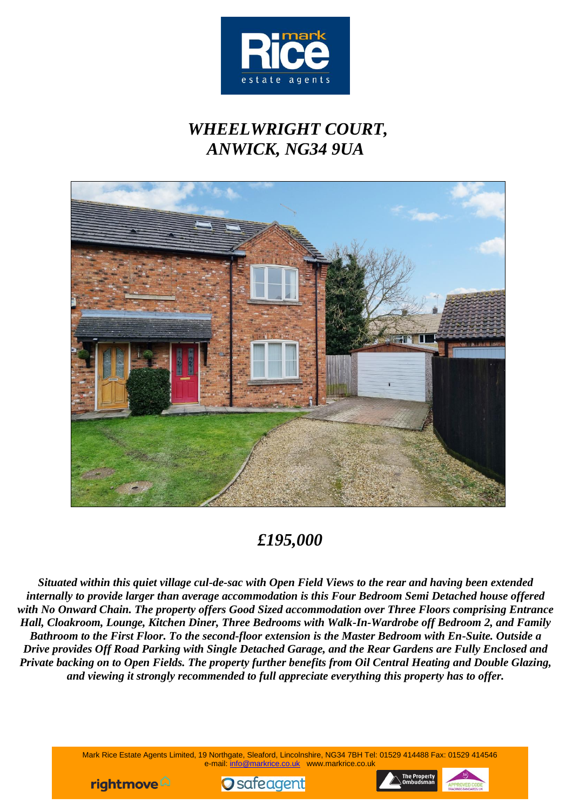

## *WHEELWRIGHT COURT, ANWICK, NG34 9UA*



## *£195,000*

*Situated within this quiet village cul-de-sac with Open Field Views to the rear and having been extended internally to provide larger than average accommodation is this Four Bedroom Semi Detached house offered with No Onward Chain. The property offers Good Sized accommodation over Three Floors comprising Entrance Hall, Cloakroom, Lounge, Kitchen Diner, Three Bedrooms with Walk-In-Wardrobe off Bedroom 2, and Family Bathroom to the First Floor. To the second-floor extension is the Master Bedroom with En-Suite. Outside a Drive provides Off Road Parking with Single Detached Garage, and the Rear Gardens are Fully Enclosed and Private backing on to Open Fields. The property further benefits from Oil Central Heating and Double Glazing, and viewing it strongly recommended to full appreciate everything this property has to offer.*

> Mark Rice Estate Agents Limited, 19 Northgate, Sleaford, Lincolnshire, NG34 7BH Tel: 01529 414488 Fax: 01529 414546 e-mail: [info@markrice.co.uk](mailto:info@markrice.co.uk) www.markrice.co.uk





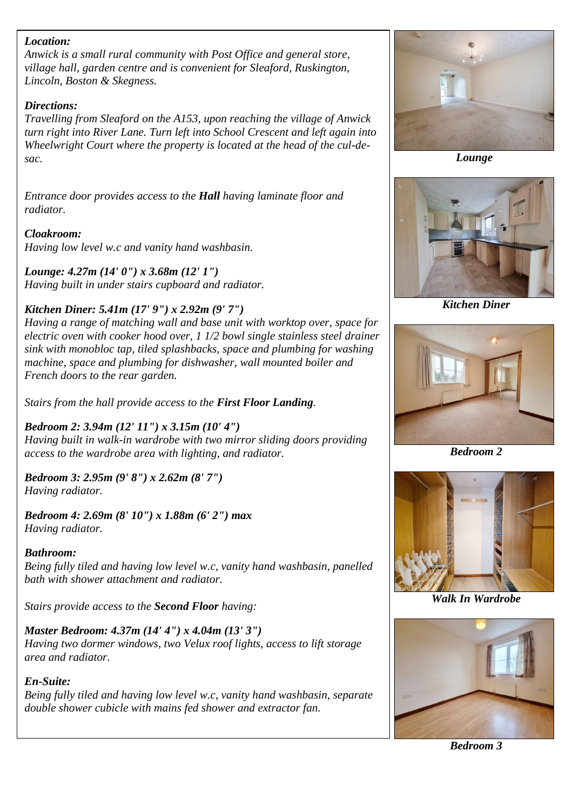#### *Location:*

*Anwick is a small rural community with Post Office and general store, village hall, garden centre and is convenient for Sleaford, Ruskington, Lincoln, Boston & Skegness.*

#### *Directions:*

*Travelling from Sleaford on the A153, upon reaching the village of Anwick turn right into River Lane. Turn left into School Crescent and left again into Wheelwright Court where the property is located at the head of the cul-desac.*

*Entrance door provides access to the Hall having laminate floor and radiator.*

### *Cloakroom:*

*Having low level w.c and vanity hand washbasin.*

## *Lounge: 4.27m (14' 0") x 3.68m (12' 1")*

*Having built in under stairs cupboard and radiator.*

## *Kitchen Diner: 5.41m (17' 9") x 2.92m (9' 7")*

*Having a range of matching wall and base unit with worktop over, space for electric oven with cooker hood over, 1 1/2 bowl single stainless steel drainer sink with monobloc tap, tiled splashbacks, space and plumbing for washing machine, space and plumbing for dishwasher, wall mounted boiler and French doors to the rear garden.*

*Stairs from the hall provide access to the First Floor Landing.*

## *Bedroom 2: 3.94m (12' 11") x 3.15m (10' 4")*

*Having built in walk-in wardrobe with two mirror sliding doors providing access to the wardrobe area with lighting, and radiator.*

*Bedroom 3: 2.95m (9' 8") x 2.62m (8' 7") Having radiator.*

*Bedroom 4: 2.69m (8' 10") x 1.88m (6' 2") max Having radiator.*

### *Bathroom:*

*Being fully tiled and having low level w.c, vanity hand washbasin, panelled bath with shower attachment and radiator.*

*Stairs provide access to the Second Floor having:*

## *Master Bedroom: 4.37m (14' 4") x 4.04m (13' 3")*

*Having two dormer windows, two Velux roof lights, access to lift storage area and radiator.*

## *En-Suite:*

*Being fully tiled and having low level w.c, vanity hand washbasin, separate double shower cubicle with mains fed shower and extractor fan.*



 *Lounge*



*Kitchen Diner*



*Bedroom 2*



*Walk In Wardrobe*



*Bedroom 3*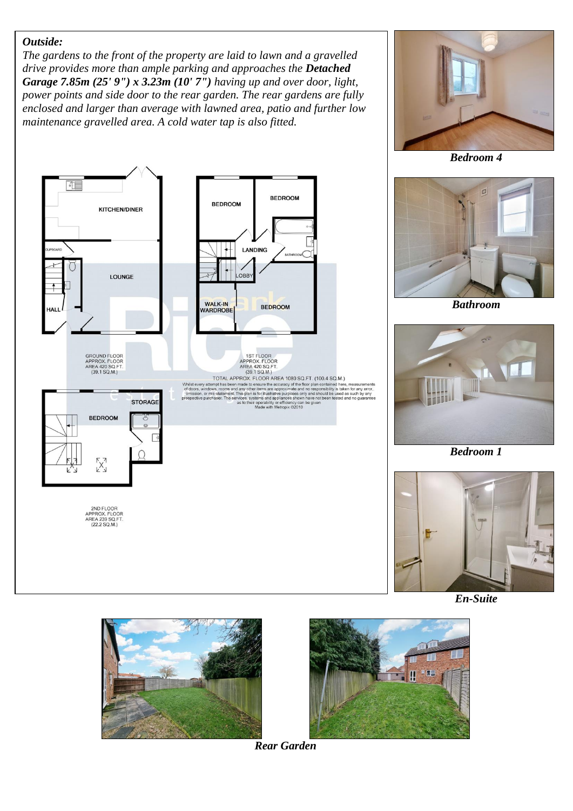#### *Outside:*

*The gardens to the front of the property are laid to lawn and a gravelled drive provides more than ample parking and approaches the Detached Garage 7.85m (25' 9") x 3.23m (10' 7") having up and over door, light, power points and side door to the rear garden. The rear gardens are fully enclosed and larger than average with lawned area, patio and further low maintenance gravelled area. A cold water tap is also fitted.*





*Bedroom 4*



*Bathroom*



*Bedroom 1*



*En-Suite*





*Rear Garden*